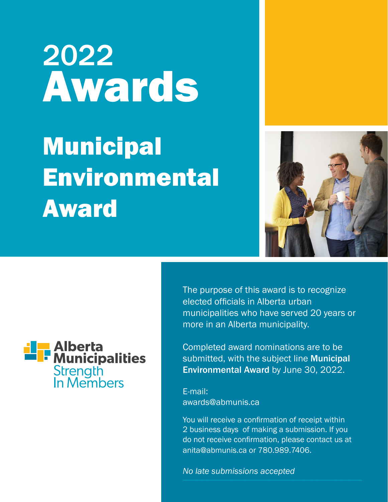# 2022 Awards Municipal **Environmental** Award





The purpose of this award is to recognize elected officials in Alberta urban municipalities who have served 20 years or more in an Alberta municipality.

Completed award nominations are to be submitted, with the subject line Municipal Environmental Award by June 30, 2022.

E-mail: awards@abmunis.ca

You will receive a confirmation of receipt within 2 business days of making a submission. If you do not receive confirmation, please contact us at anita@abmunis.ca or 780.989.7406.

*No late submissions accepted*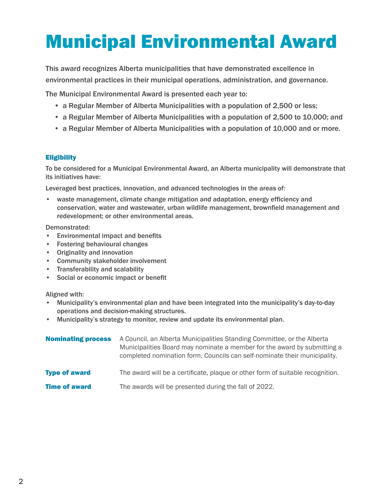# Municipal Environmental Award

This award recognizes Alberta municipalities that have demonstrated excellence in environmental practices in their municipal operations, administration, and governance.

The Municipal Environmental Award is presented each year to:

- a Regular Member of Alberta Municipalities with a population of 2,500 or less;
- a Regular Member of Alberta Municipalities with a population of 2,500 to 10,000; and
- a Regular Member of Alberta Municipalities with a population of 10,000 and or more.

#### **Eligibility**

To be considered for a Municipal Environmental Award, an Alberta municipality will demonstrate that its initiatives have:

Leveraged best practices, innovation, and advanced technologies in the areas of:

• waste management, climate change mitigation and adaptation, energy efficiency and conservation, water and wastewater, urban wildlife management, brownfield management and redevelopment; or other environmental areas.

Demonstrated:

- Environmental impact and benefits
- Fostering behavioural changes
- Originality and innovation
- Community stakeholder involvement
- Transferability and scalability
- Social or economic impact or benefit

Aligned with:

- Municipality's environmental plan and have been integrated into the municipality's day-to-day operations and decision-making structures.
- Municipality's strategy to monitor, review and update its environmental plan.

| <b>Nominating process</b> | A Council, an Alberta Municipalities Standing Committee, or the Alberta<br>Municipalities Board may nominate a member for the award by submitting a<br>completed nomination form. Councils can self-nominate their municipality. |
|---------------------------|----------------------------------------------------------------------------------------------------------------------------------------------------------------------------------------------------------------------------------|
| <b>Type of award</b>      | The award will be a certificate, plaque or other form of suitable recognition.                                                                                                                                                   |
| <b>Time of award</b>      | The awards will be presented during the fall of 2022.                                                                                                                                                                            |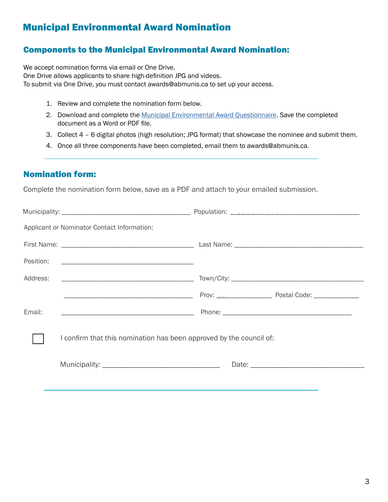### Municipal Environmental Award Nomination

#### Components to the Municipal Environmental Award Nomination:

We accept nomination forms via email or One Drive. One Drive allows applicants to share high-definition JPG and videos. To submit via One Drive, you must contact awards@abmunis.ca to set up your access.

- 1. Review and complete the nomination form below.
- 2. Download and complete the [Municipal Environmental Award Questionnaire](https://www.abmunis.ca/system/files/2022-05/2022_Municipal%20Environmental%20Award%20Questionnaire.docx). Save the completed document as a Word or PDF file.
- 3. Collect 4 6 digital photos (high resolution; JPG format) that showcase the nominee and submit them.
- 4. Once all three components have been completed, email them to awards@abmunis.ca.

#### Nomination form:

Complete the nomination form below, save as a PDF and attach to your emailed submission.

|           | Applicant or Nominator Contact Information:                         |  |
|-----------|---------------------------------------------------------------------|--|
|           |                                                                     |  |
| Position: |                                                                     |  |
| Address:  |                                                                     |  |
|           |                                                                     |  |
| Email:    |                                                                     |  |
|           | I confirm that this nomination has been approved by the council of: |  |
|           |                                                                     |  |
|           |                                                                     |  |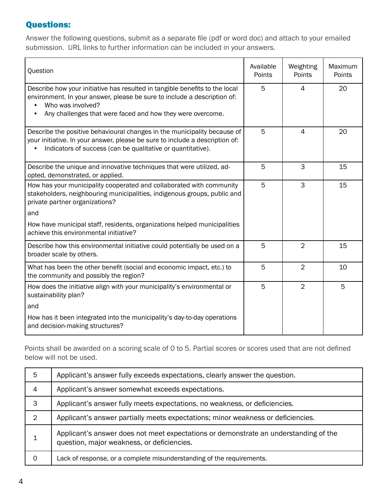#### Questions:

Answer the following questions, submit as a separate file (pdf or word doc) and attach to your emailed submission. URL links to further information can be included in your answers.

| Question                                                                                                                                                                                                                                   |   | Weighting<br>Points | Maximum<br>Points |
|--------------------------------------------------------------------------------------------------------------------------------------------------------------------------------------------------------------------------------------------|---|---------------------|-------------------|
| Describe how your initiative has resulted in tangible benefits to the local<br>environment. In your answer, please be sure to include a description of:<br>Who was involved?<br>Any challenges that were faced and how they were overcome. | 5 | 4                   | 20                |
| Describe the positive behavioural changes in the municipality because of<br>your initiative. In your answer, please be sure to include a description of:<br>Indicators of success (can be qualitative or quantitative).                    |   | 4                   | 20                |
| Describe the unique and innovative techniques that were utilized, ad-<br>opted, demonstrated, or applied.                                                                                                                                  |   | 3                   | 15                |
| How has your municipality cooperated and collaborated with community<br>stakeholders, neighbouring municipalities, indigenous groups, public and<br>private partner organizations?                                                         |   | 3                   | 15                |
| and<br>How have municipal staff, residents, organizations helped municipalities<br>achieve this environmental initiative?                                                                                                                  |   |                     |                   |
| Describe how this environmental initiative could potentially be used on a<br>broader scale by others.                                                                                                                                      |   | $\overline{2}$      | 15                |
| What has been the other benefit (social and economic impact, etc.) to<br>the community and possibly the region?                                                                                                                            | 5 | $\overline{2}$      | 10                |
| How does the initiative align with your municipality's environmental or<br>sustainability plan?<br>and                                                                                                                                     | 5 | $\overline{2}$      | 5                 |
| How has it been integrated into the municipality's day-to-day operations<br>and decision-making structures?                                                                                                                                |   |                     |                   |

Points shall be awarded on a scoring scale of 0 to 5. Partial scores or scores used that are not defined below will not be used.

| 5 | Applicant's answer fully exceeds expectations, clearly answer the question.                                                        |
|---|------------------------------------------------------------------------------------------------------------------------------------|
| 4 | Applicant's answer somewhat exceeds expectations.                                                                                  |
| 3 | Applicant's answer fully meets expectations, no weakness, or deficiencies.                                                         |
| 2 | Applicant's answer partially meets expectations; minor weakness or deficiencies.                                                   |
|   | Applicant's answer does not meet expectations or demonstrate an understanding of the<br>question, major weakness, or deficiencies. |
|   | Lack of response, or a complete misunderstanding of the requirements.                                                              |